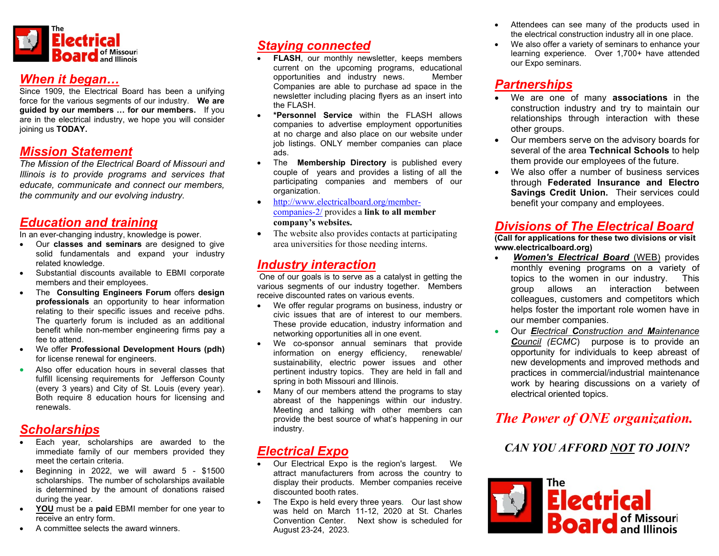

## When it began…

Since 1909, the Electrical Board has been a unifying force for the various segments of our industry. We are guided by our members … for our members. If you are in the electrical industry, we hope you will consider joining us TODAY.

## Mission Statement

The Mission of the Electrical Board of Missouri and Illinois is to provide programs and services that educate, communicate and connect our members, the community and our evolving industry.

## Education and training

In an ever-changing industry, knowledge is power.

- Our **classes and seminars** are designed to give solid fundamentals and expand your industry related knowledge.
- Substantial discounts available to EBMI corporate members and their employees.
- The Consulting Engineers Forum offers design professionals an opportunity to hear information relating to their specific issues and receive pdhs. The quarterly forum is included as an additional benefit while non-member engineering firms pay a fee to attend.
- We offer Professional Development Hours (pdh) for license renewal for engineers.
- Also offer education hours in several classes that fulfill licensing requirements for Jefferson County (every 3 years) and City of St. Louis (every year). Both require 8 education hours for licensing and renewals.

# **Scholarships**

- Each year, scholarships are awarded to the immediate family of our members provided they meet the certain criteria.
- $\bullet$  Beginning in 2022, we will award  $5 $1500$ scholarships. The number of scholarships available is determined by the amount of donations raised during the year.
- YOU must be a paid EBMI member for one year to receive an entry form.
- A committee selects the award winners.

# Staying connected

- FLASH, our monthly newsletter, keeps members current on the upcoming programs, educational opportunities and industry news. Member Companies are able to purchase ad space in the newsletter including placing flyers as an insert into the FLASH.
- \*Personnel Service within the FLASH allows companies to advertise employment opportunities at no charge and also place on our website under job listings. ONLY member companies can place ads.
- The **Membership Directory** is published every couple of years and provides a listing of all the participating companies and members of our organization.
- http://www.electricalboard.org/membercompanies-2/ provides a link to all member company's websites.
- The website also provides contacts at participating area universities for those needing interns.

## Industry interaction

One of our goals is to serve as a catalyst in getting the various segments of our industry together. Members receive discounted rates on various events.

- We offer regular programs on business, industry or civic issues that are of interest to our members. These provide education, industry information and networking opportunities all in one event.
- We co-sponsor annual seminars that provide information on energy efficiency, renewable/ sustainability, electric power issues and other pertinent industry topics. They are held in fall and spring in both Missouri and Illinois.
- Many of our members attend the programs to stay abreast of the happenings within our industry. Meeting and talking with other members can provide the best source of what's happening in our industry.

# Electrical Expo

- Our Electrical Expo is the region's largest. We attract manufacturers from across the country to display their products. Member companies receive discounted booth rates.
- The Expo is held every three years. Our last show was held on March 11-12, 2020 at St. Charles Convention Center. Next show is scheduled for August 23-24, 2023.
- Attendees can see many of the products used in the electrical construction industry all in one place.
- We also offer a variety of seminars to enhance your learning experience. Over 1,700+ have attended our Expo seminars.

# **Partnerships**

- We are one of many **associations** in the construction industry and try to maintain our relationships through interaction with these other groups.
- Our members serve on the advisory boards for several of the area Technical Schools to help them provide our employees of the future.
- We also offer a number of business services through Federated Insurance and Electro Savings Credit Union. Their services could benefit your company and employees.

## Divisions of The Electrical Board

(Call for applications for these two divisions or visit www.electricalboard.org)

- Women's Electrical Board (WEB) provides monthly evening programs on a variety of topics to the women in our industry. This group allows an interaction between colleagues, customers and competitors which helps foster the important role women have in our member companies.
- Our Electrical Construction and Maintenance Council (ECMC) purpose is to provide an opportunity for individuals to keep abreast of new developments and improved methods and practices in commercial/industrial maintenance work by hearing discussions on a variety of electrical oriented topics.

# The Power of ONE organization.

## CAN YOU AFFORD NOT TO JOIN?